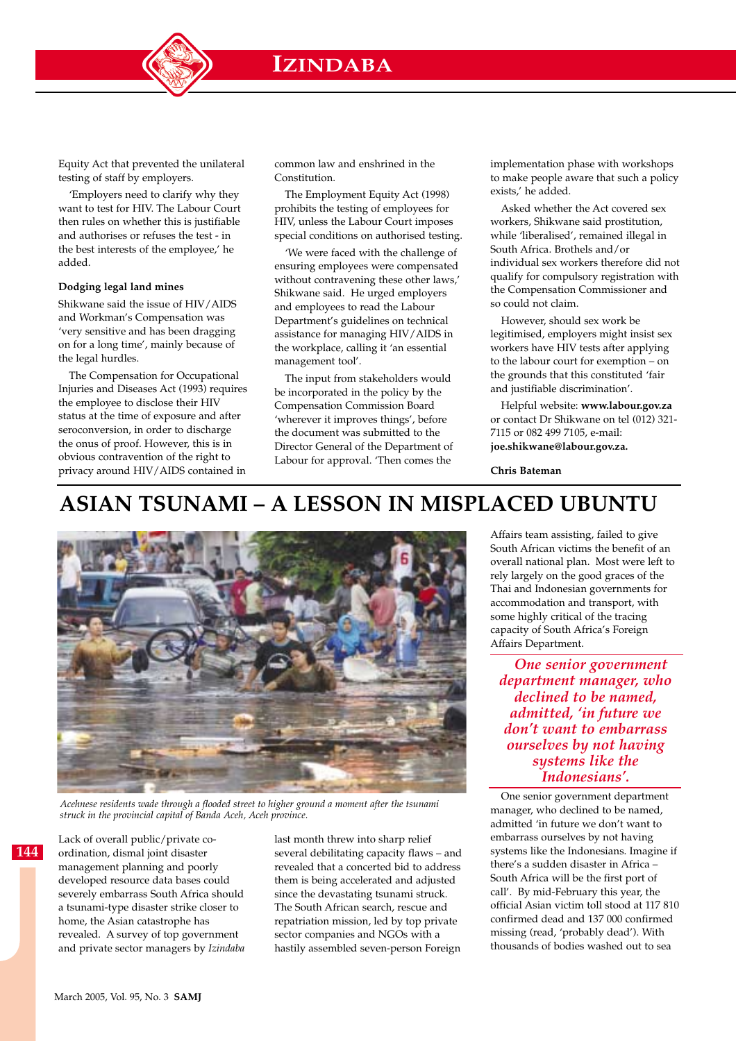**IZINDABA**

Equity Act that prevented the unilateral testing of staff by employers.

'Employers need to clarify why they want to test for HIV. The Labour Court then rules on whether this is justifiable and authorises or refuses the test - in the best interests of the employee,' he added.

### **Dodging legal land mines**

Shikwane said the issue of HIV/AIDS and Workman's Compensation was 'very sensitive and has been dragging on for a long time', mainly because of the legal hurdles.

The Compensation for Occupational Injuries and Diseases Act (1993) requires the employee to disclose their HIV status at the time of exposure and after seroconversion, in order to discharge the onus of proof. However, this is in obvious contravention of the right to privacy around HIV/AIDS contained in

common law and enshrined in the Constitution.

The Employment Equity Act (1998) prohibits the testing of employees for HIV, unless the Labour Court imposes special conditions on authorised testing.

'We were faced with the challenge of ensuring employees were compensated without contravening these other laws,' Shikwane said. He urged employers and employees to read the Labour Department's guidelines on technical assistance for managing HIV/AIDS in the workplace, calling it 'an essential management tool'.

The input from stakeholders would be incorporated in the policy by the Compensation Commission Board 'wherever it improves things', before the document was submitted to the Director General of the Department of Labour for approval. 'Then comes the

implementation phase with workshops to make people aware that such a policy exists,' he added.

Asked whether the Act covered sex workers, Shikwane said prostitution, while 'liberalised', remained illegal in South Africa. Brothels and/or individual sex workers therefore did not qualify for compulsory registration with the Compensation Commissioner and so could not claim.

However, should sex work be legitimised, employers might insist sex workers have HIV tests after applying to the labour court for exemption – on the grounds that this constituted 'fair and justifiable discrimination'.

Helpful website: **www.labour.gov.za** or contact Dr Shikwane on tel (012) 321- 7115 or 082 499 7105, e-mail: **joe.shikwane@labour.gov.za.**

**Chris Bateman**

# **ASIAN TSUNAMI – A LESSON IN MISPLACED UBUNTU**



*Acehnese residents wade through a flooded street to higher ground a moment after the tsunami struck in the provincial capital of Banda Aceh, Aceh province.*

Lack of overall public/private coordination, dismal joint disaster management planning and poorly developed resource data bases could severely embarrass South Africa should a tsunami-type disaster strike closer to home, the Asian catastrophe has revealed. A survey of top government and private sector managers by *Izindaba* last month threw into sharp relief several debilitating capacity flaws – and revealed that a concerted bid to address them is being accelerated and adjusted since the devastating tsunami struck. The South African search, rescue and repatriation mission, led by top private sector companies and NGOs with a hastily assembled seven-person Foreign

Affairs team assisting, failed to give South African victims the benefit of an overall national plan. Most were left to rely largely on the good graces of the Thai and Indonesian governments for accommodation and transport, with some highly critical of the tracing capacity of South Africa's Foreign Affairs Department.

*One senior government department manager, who declined to be named, admitted, 'in future we don't want to embarrass ourselves by not having systems like the Indonesians'.*

One senior government department manager, who declined to be named, admitted 'in future we don't want to embarrass ourselves by not having systems like the Indonesians. Imagine if there's a sudden disaster in Africa – South Africa will be the first port of call'. By mid-February this year, the official Asian victim toll stood at 117 810 confirmed dead and 137 000 confirmed missing (read, 'probably dead'). With thousands of bodies washed out to sea

**144**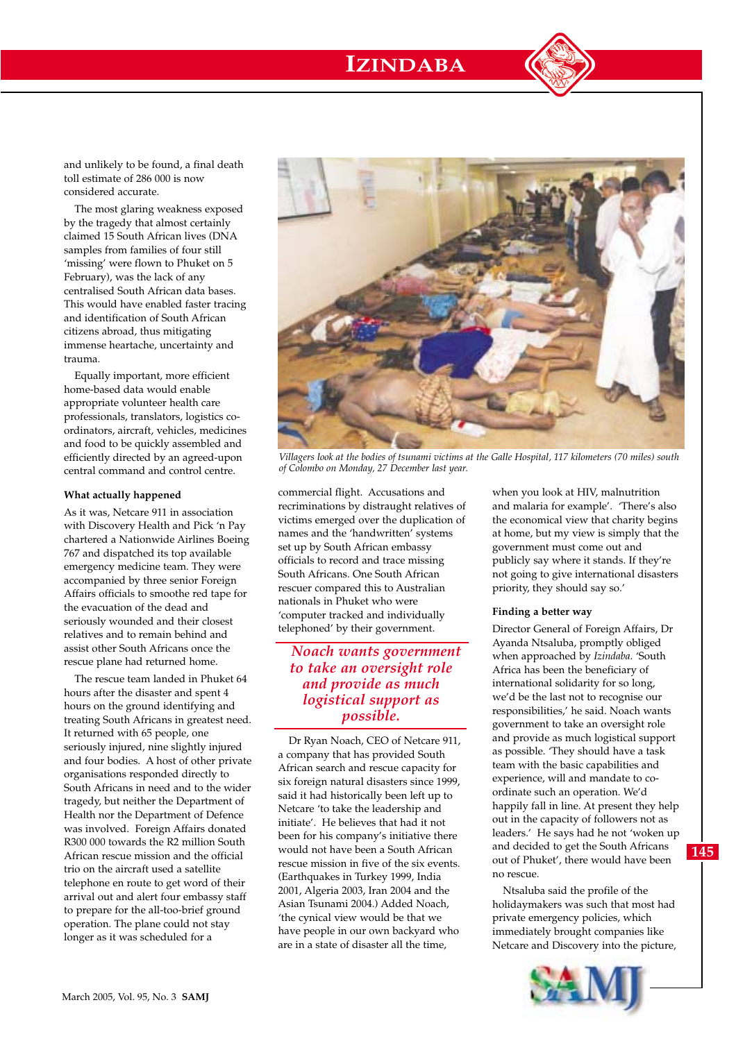# **IZINDABA**



and unlikely to be found, a final death toll estimate of 286 000 is now considered accurate.

The most glaring weakness exposed by the tragedy that almost certainly claimed 15 South African lives (DNA samples from families of four still 'missing' were flown to Phuket on 5 February), was the lack of any centralised South African data bases. This would have enabled faster tracing and identification of South African citizens abroad, thus mitigating immense heartache, uncertainty and trauma.

Equally important, more efficient home-based data would enable appropriate volunteer health care professionals, translators, logistics coordinators, aircraft, vehicles, medicines and food to be quickly assembled and efficiently directed by an agreed-upon central command and control centre.

#### **What actually happened**

As it was, Netcare 911 in association with Discovery Health and Pick 'n Pay chartered a Nationwide Airlines Boeing 767 and dispatched its top available emergency medicine team. They were accompanied by three senior Foreign Affairs officials to smoothe red tape for the evacuation of the dead and seriously wounded and their closest relatives and to remain behind and assist other South Africans once the rescue plane had returned home.

The rescue team landed in Phuket 64 hours after the disaster and spent 4 hours on the ground identifying and treating South Africans in greatest need. It returned with 65 people, one seriously injured, nine slightly injured and four bodies. A host of other private organisations responded directly to South Africans in need and to the wider tragedy, but neither the Department of Health nor the Department of Defence was involved. Foreign Affairs donated R300 000 towards the R2 million South African rescue mission and the official trio on the aircraft used a satellite telephone en route to get word of their arrival out and alert four embassy staff to prepare for the all-too-brief ground operation. The plane could not stay longer as it was scheduled for a



*Villagers look at the bodies of tsunami victims at the Galle Hospital, 117 kilometers (70 miles) south of Colombo on Monday, 27 December last year.*

commercial flight. Accusations and recriminations by distraught relatives of victims emerged over the duplication of names and the 'handwritten' systems set up by South African embassy officials to record and trace missing South Africans. One South African rescuer compared this to Australian nationals in Phuket who were 'computer tracked and individually telephoned' by their government.

# *Noach wants government to take an oversight role and provide as much logistical support as possible.*

Dr Ryan Noach, CEO of Netcare 911, a company that has provided South African search and rescue capacity for six foreign natural disasters since 1999, said it had historically been left up to Netcare 'to take the leadership and initiate'. He believes that had it not been for his company's initiative there would not have been a South African rescue mission in five of the six events. (Earthquakes in Turkey 1999, India 2001, Algeria 2003, Iran 2004 and the Asian Tsunami 2004.) Added Noach, 'the cynical view would be that we have people in our own backyard who are in a state of disaster all the time,

when you look at HIV, malnutrition and malaria for example'. 'There's also the economical view that charity begins at home, but my view is simply that the government must come out and publicly say where it stands. If they're not going to give international disasters priority, they should say so.'

### **Finding a better way**

Director General of Foreign Affairs, Dr Ayanda Ntsaluba, promptly obliged when approached by *Izindaba*. 'South Africa has been the beneficiary of international solidarity for so long, we'd be the last not to recognise our responsibilities,' he said. Noach wants government to take an oversight role and provide as much logistical support as possible. 'They should have a task team with the basic capabilities and experience, will and mandate to coordinate such an operation. We'd happily fall in line. At present they help out in the capacity of followers not as leaders.' He says had he not 'woken up and decided to get the South Africans out of Phuket', there would have been no rescue.

Ntsaluba said the profile of the holidaymakers was such that most had private emergency policies, which immediately brought companies like Netcare and Discovery into the picture,

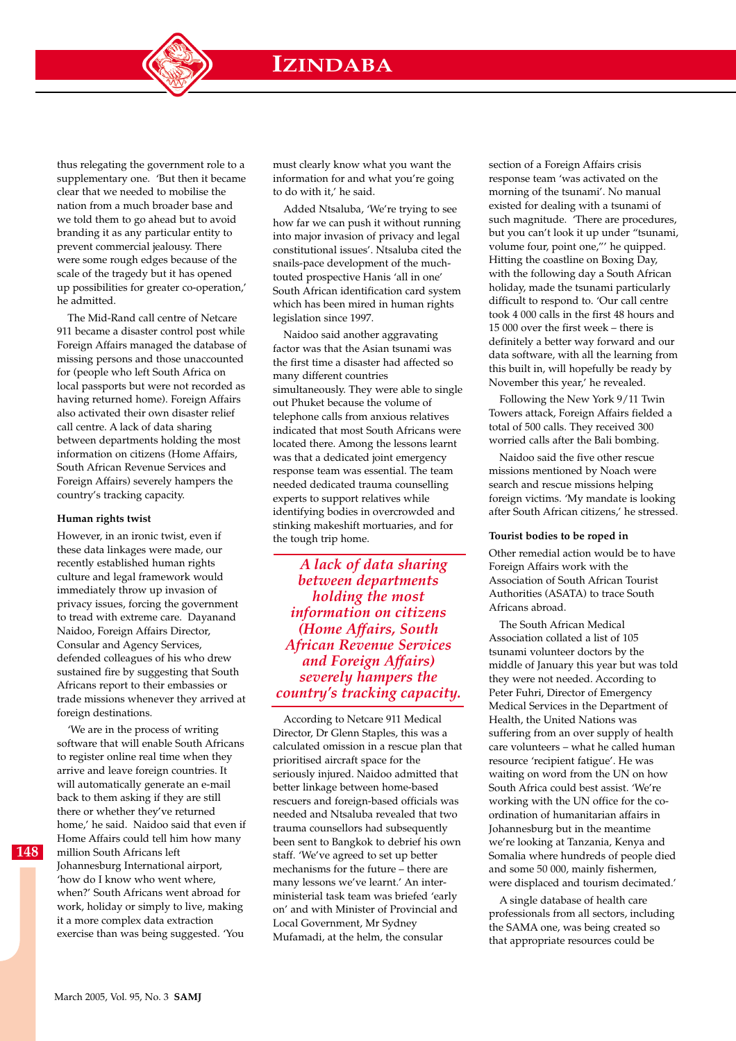**IZINDABA**

thus relegating the government role to a supplementary one. 'But then it became clear that we needed to mobilise the nation from a much broader base and we told them to go ahead but to avoid branding it as any particular entity to prevent commercial jealousy. There were some rough edges because of the scale of the tragedy but it has opened up possibilities for greater co-operation,' he admitted.

The Mid-Rand call centre of Netcare 911 became a disaster control post while Foreign Affairs managed the database of missing persons and those unaccounted for (people who left South Africa on local passports but were not recorded as having returned home). Foreign Affairs also activated their own disaster relief call centre. A lack of data sharing between departments holding the most information on citizens (Home Affairs, South African Revenue Services and Foreign Affairs) severely hampers the country's tracking capacity.

#### **Human rights twist**

However, in an ironic twist, even if these data linkages were made, our recently established human rights culture and legal framework would immediately throw up invasion of privacy issues, forcing the government to tread with extreme care. Dayanand Naidoo, Foreign Affairs Director, Consular and Agency Services, defended colleagues of his who drew sustained fire by suggesting that South Africans report to their embassies or trade missions whenever they arrived at foreign destinations.

'We are in the process of writing software that will enable South Africans to register online real time when they arrive and leave foreign countries. It will automatically generate an e-mail back to them asking if they are still there or whether they've returned home,' he said. Naidoo said that even if Home Affairs could tell him how many million South Africans left Johannesburg International airport, 'how do I know who went where, when?' South Africans went abroad for work, holiday or simply to live, making it a more complex data extraction exercise than was being suggested. 'You

must clearly know what you want the information for and what you're going to do with it,' he said.

Added Ntsaluba, 'We're trying to see how far we can push it without running into major invasion of privacy and legal constitutional issues'. Ntsaluba cited the snails-pace development of the muchtouted prospective Hanis 'all in one' South African identification card system which has been mired in human rights legislation since 1997.

Naidoo said another aggravating factor was that the Asian tsunami was the first time a disaster had affected so many different countries simultaneously. They were able to single out Phuket because the volume of telephone calls from anxious relatives indicated that most South Africans were located there. Among the lessons learnt was that a dedicated joint emergency response team was essential. The team needed dedicated trauma counselling experts to support relatives while identifying bodies in overcrowded and stinking makeshift mortuaries, and for the tough trip home.

*A lack of data sharing between departments holding the most information on citizens (Home Affairs, South African Revenue Services and Foreign Affairs) severely hampers the country's tracking capacity.* 

According to Netcare 911 Medical Director, Dr Glenn Staples, this was a calculated omission in a rescue plan that prioritised aircraft space for the seriously injured. Naidoo admitted that better linkage between home-based rescuers and foreign-based officials was needed and Ntsaluba revealed that two trauma counsellors had subsequently been sent to Bangkok to debrief his own staff. 'We've agreed to set up better mechanisms for the future – there are many lessons we've learnt.' An interministerial task team was briefed 'early on' and with Minister of Provincial and Local Government, Mr Sydney Mufamadi, at the helm, the consular

section of a Foreign Affairs crisis response team 'was activated on the morning of the tsunami'. No manual existed for dealing with a tsunami of such magnitude. 'There are procedures, but you can't look it up under "tsunami, volume four, point one,"' he quipped. Hitting the coastline on Boxing Day, with the following day a South African holiday, made the tsunami particularly difficult to respond to. 'Our call centre took 4 000 calls in the first 48 hours and 15 000 over the first week – there is definitely a better way forward and our data software, with all the learning from this built in, will hopefully be ready by November this year,' he revealed.

Following the New York 9/11 Twin Towers attack, Foreign Affairs fielded a total of 500 calls. They received 300 worried calls after the Bali bombing.

Naidoo said the five other rescue missions mentioned by Noach were search and rescue missions helping foreign victims. 'My mandate is looking after South African citizens,' he stressed.

#### **Tourist bodies to be roped in**

Other remedial action would be to have Foreign Affairs work with the Association of South African Tourist Authorities (ASATA) to trace South Africans abroad.

The South African Medical Association collated a list of 105 tsunami volunteer doctors by the middle of January this year but was told they were not needed. According to Peter Fuhri, Director of Emergency Medical Services in the Department of Health, the United Nations was suffering from an over supply of health care volunteers – what he called human resource 'recipient fatigue'. He was waiting on word from the UN on how South Africa could best assist. 'We're working with the UN office for the coordination of humanitarian affairs in Johannesburg but in the meantime we're looking at Tanzania, Kenya and Somalia where hundreds of people died and some 50 000, mainly fishermen, were displaced and tourism decimated.'

A single database of health care professionals from all sectors, including the SAMA one, was being created so that appropriate resources could be

**148**